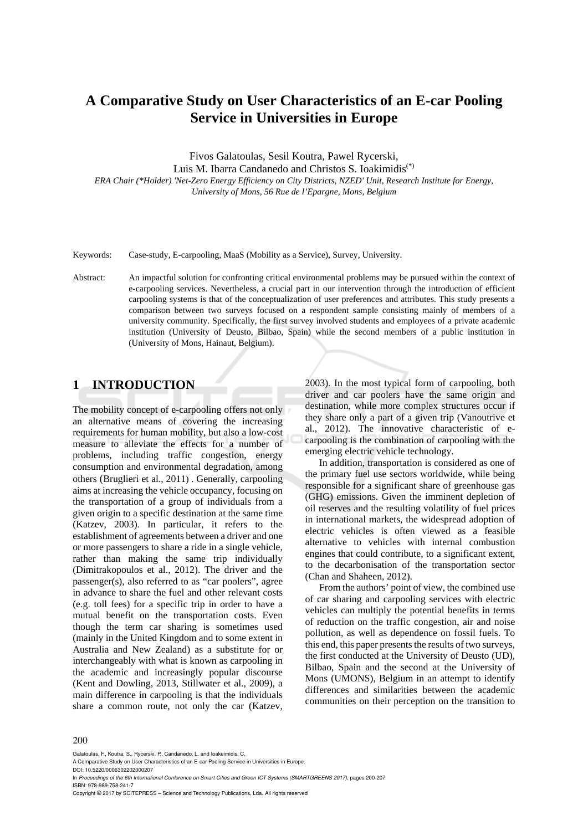# **A Comparative Study on User Characteristics of an E-car Pooling Service in Universities in Europe**

Fivos Galatoulas, Sesil Koutra, Pawel Rycerski,

Luis M. Ibarra Candanedo and Christos S. Ioakimidis(\*)

*ERA Chair (\*Holder) 'Net-Zero Energy Efficiency on City Districts, NZED' Unit, Research Institute for Energy, University of Mons, 56 Rue de l'Epargne, Mons, Belgium* 

- Keywords: Case-study, E-carpooling, MaaS (Mobility as a Service), Survey, University.
- Abstract: An impactful solution for confronting critical environmental problems may be pursued within the context of e-carpooling services. Nevertheless, a crucial part in our intervention through the introduction of efficient carpooling systems is that of the conceptualization of user preferences and attributes. This study presents a comparison between two surveys focused on a respondent sample consisting mainly of members of a university community. Specifically, the first survey involved students and employees of a private academic institution (University of Deusto, Bilbao, Spain) while the second members of a public institution in (University of Mons, Hainaut, Belgium).

# **1 INTRODUCTION**

The mobility concept of e-carpooling offers not only an alternative means of covering the increasing requirements for human mobility, but also a low-cost measure to alleviate the effects for a number of problems, including traffic congestion, energy consumption and environmental degradation, among others (Bruglieri et al., 2011) . Generally, carpooling aims at increasing the vehicle occupancy, focusing on the transportation of a group of individuals from a given origin to a specific destination at the same time (Katzev, 2003). In particular, it refers to the establishment of agreements between a driver and one or more passengers to share a ride in a single vehicle, rather than making the same trip individually (Dimitrakopoulos et al., 2012). The driver and the passenger(s), also referred to as "car poolers", agree in advance to share the fuel and other relevant costs (e.g. toll fees) for a specific trip in order to have a mutual benefit on the transportation costs. Even though the term car sharing is sometimes used (mainly in the United Kingdom and to some extent in Australia and New Zealand) as a substitute for or interchangeably with what is known as carpooling in the academic and increasingly popular discourse (Kent and Dowling, 2013, Stillwater et al., 2009), a main difference in carpooling is that the individuals share a common route, not only the car (Katzev,

2003). In the most typical form of carpooling, both driver and car poolers have the same origin and destination, while more complex structures occur if they share only a part of a given trip (Vanoutrive et al., 2012). The innovative characteristic of ecarpooling is the combination of carpooling with the emerging electric vehicle technology.

In addition, transportation is considered as one of the primary fuel use sectors worldwide, while being responsible for a significant share of greenhouse gas (GHG) emissions. Given the imminent depletion of oil reserves and the resulting volatility of fuel prices in international markets, the widespread adoption of electric vehicles is often viewed as a feasible alternative to vehicles with internal combustion engines that could contribute, to a significant extent, to the decarbonisation of the transportation sector (Chan and Shaheen, 2012).

From the authors' point of view, the combined use of car sharing and carpooling services with electric vehicles can multiply the potential benefits in terms of reduction on the traffic congestion, air and noise pollution, as well as dependence on fossil fuels. To this end, this paper presents the results of two surveys, the first conducted at the University of Deusto (UD), Bilbao, Spain and the second at the University of Mons (UMONS), Belgium in an attempt to identify differences and similarities between the academic communities on their perception on the transition to

Galatoulas, F., Koutra, S., Rycerski, P., Candanedo, L. and Ioakeimidis, C.

In *Proceedings of the 6th International Conference on Smart Cities and Green ICT Systems (SMARTGREENS 2017)*, pages 200-207 ISBN: 978-989-758-241-7

Copyright © 2017 by SCITEPRESS – Science and Technology Publications, Lda. All rights reserved

A Comparative Study on User Characteristics of an E-car Pooling Service in Universities in Europe. DOI: 10.5220/0006302202000207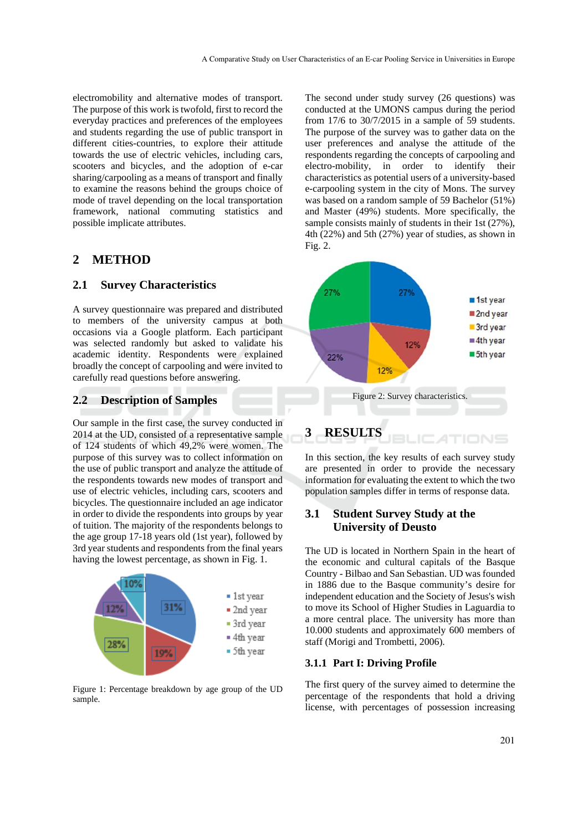electromobility and alternative modes of transport. The purpose of this work is twofold, first to record the everyday practices and preferences of the employees and students regarding the use of public transport in different cities-countries, to explore their attitude towards the use of electric vehicles, including cars, scooters and bicycles, and the adoption of e-car sharing/carpooling as a means of transport and finally to examine the reasons behind the groups choice of mode of travel depending on the local transportation framework, national commuting statistics and possible implicate attributes.

# **2 METHOD**

### **2.1 Survey Characteristics**

A survey questionnaire was prepared and distributed to members of the university campus at both occasions via a Google platform. Each participant was selected randomly but asked to validate his academic identity. Respondents were explained broadly the concept of carpooling and were invited to carefully read questions before answering.

### **2.2 Description of Samples**

Our sample in the first case, the survey conducted in 2014 at the UD, consisted of a representative sample of 124 students of which 49,2% were women. The purpose of this survey was to collect information on the use of public transport and analyze the attitude of the respondents towards new modes of transport and use of electric vehicles, including cars, scooters and bicycles. The questionnaire included an age indicator in order to divide the respondents into groups by year of tuition. The majority of the respondents belongs to the age group 17-18 years old (1st year), followed by 3rd year students and respondents from the final years having the lowest percentage, as shown in Fig. 1.



Figure 1: Percentage breakdown by age group of the UD sample.

The second under study survey (26 questions) was conducted at the UMONS campus during the period from 17/6 to 30/7/2015 in a sample of 59 students. The purpose of the survey was to gather data on the user preferences and analyse the attitude of the respondents regarding the concepts of carpooling and electro-mobility, in order to identify their characteristics as potential users of a university-based e-carpooling system in the city of Mons. The survey was based on a random sample of 59 Bachelor (51%) and Master (49%) students. More specifically, the sample consists mainly of students in their 1st (27%), 4th (22%) and 5th (27%) year of studies, as shown in Fig. 2.



In this section, the key results of each survey study are presented in order to provide the necessary information for evaluating the extent to which the two population samples differ in terms of response data.

### **3.1 Student Survey Study at the University of Deusto**

The UD is located in Northern Spain in the heart of the economic and cultural capitals of the Basque Country - Bilbao and San Sebastian. UD was founded in 1886 due to the Basque community's desire for independent education and the Society of Jesus's wish to move its School of Higher Studies in Laguardia to a more central place. The university has more than 10.000 students and approximately 600 members of staff (Morigi and Trombetti, 2006).

### **3.1.1 Part I: Driving Profile**

The first query of the survey aimed to determine the percentage of the respondents that hold a driving license, with percentages of possession increasing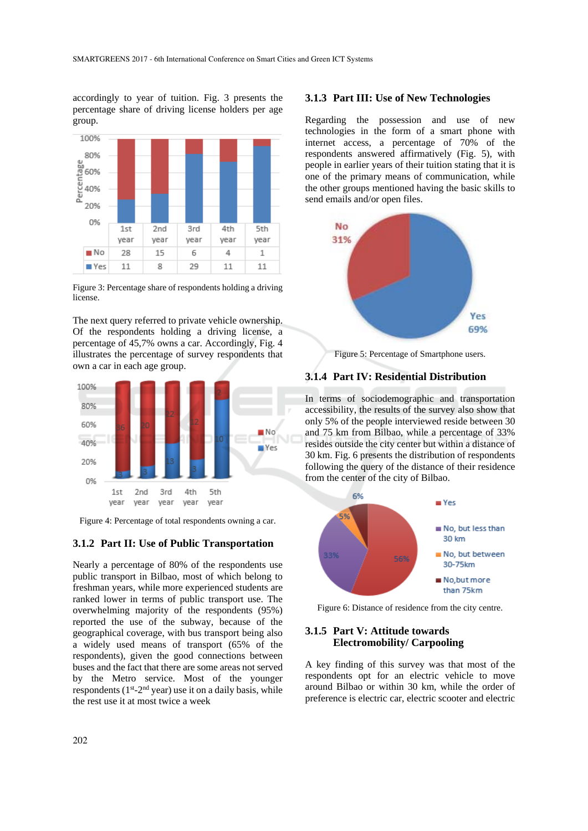accordingly to year of tuition. Fig. 3 presents the percentage share of driving license holders per age group.



Figure 3: Percentage share of respondents holding a driving license.

The next query referred to private vehicle ownership. Of the respondents holding a driving license, a percentage of 45,7% owns a car. Accordingly, Fig. 4 illustrates the percentage of survey respondents that own a car in each age group.



Figure 4: Percentage of total respondents owning a car.

#### **3.1.2 Part II: Use of Public Transportation**

Nearly a percentage of 80% of the respondents use public transport in Bilbao, most of which belong to freshman years, while more experienced students are ranked lower in terms of public transport use. The overwhelming majority of the respondents (95%) reported the use of the subway, because of the geographical coverage, with bus transport being also a widely used means of transport (65% of the respondents), given the good connections between buses and the fact that there are some areas not served by the Metro service. Most of the younger respondents  $(1<sup>st</sup>-2<sup>nd</sup>$  year) use it on a daily basis, while the rest use it at most twice a week

#### **3.1.3 Part III: Use of New Technologies**

Regarding the possession and use of new technologies in the form of a smart phone with internet access, a percentage of 70% of the respondents answered affirmatively (Fig. 5), with people in earlier years of their tuition stating that it is one of the primary means of communication, while the other groups mentioned having the basic skills to send emails and/or open files.



Figure 5: Percentage of Smartphone users.

#### **3.1.4 Part IV: Residential Distribution**

In terms of sociodemographic and transportation accessibility, the results of the survey also show that only 5% of the people interviewed reside between 30 and 75 km from Bilbao, while a percentage of 33% resides outside the city center but within a distance of 30 km. Fig. 6 presents the distribution of respondents following the query of the distance of their residence from the center of the city of Bilbao.



Figure 6: Distance of residence from the city centre.

#### **3.1.5 Part V: Attitude towards Electromobility/ Carpooling**

A key finding of this survey was that most of the respondents opt for an electric vehicle to move around Bilbao or within 30 km, while the order of preference is electric car, electric scooter and electric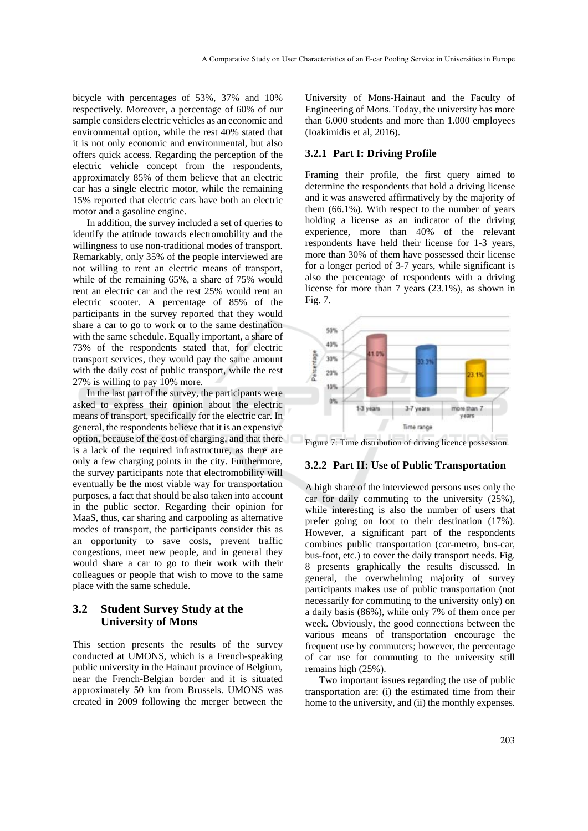bicycle with percentages of 53%, 37% and 10% respectively. Moreover, a percentage of 60% of our sample considers electric vehicles as an economic and environmental option, while the rest 40% stated that it is not only economic and environmental, but also offers quick access. Regarding the perception of the electric vehicle concept from the respondents, approximately 85% of them believe that an electric car has a single electric motor, while the remaining 15% reported that electric cars have both an electric motor and a gasoline engine.

In addition, the survey included a set of queries to identify the attitude towards electromobility and the willingness to use non-traditional modes of transport. Remarkably, only 35% of the people interviewed are not willing to rent an electric means of transport, while of the remaining 65%, a share of 75% would rent an electric car and the rest 25% would rent an electric scooter. A percentage of 85% of the participants in the survey reported that they would share a car to go to work or to the same destination with the same schedule. Equally important, a share of 73% of the respondents stated that, for electric transport services, they would pay the same amount with the daily cost of public transport, while the rest 27% is willing to pay 10% more.

In the last part of the survey, the participants were asked to express their opinion about the electric means of transport, specifically for the electric car. In general, the respondents believe that it is an expensive option, because of the cost of charging, and that there is a lack of the required infrastructure, as there are only a few charging points in the city. Furthermore, the survey participants note that electromobility will eventually be the most viable way for transportation purposes, a fact that should be also taken into account in the public sector. Regarding their opinion for MaaS, thus, car sharing and carpooling as alternative modes of transport, the participants consider this as an opportunity to save costs, prevent traffic congestions, meet new people, and in general they would share a car to go to their work with their colleagues or people that wish to move to the same place with the same schedule.

### **3.2 Student Survey Study at the University of Mons**

This section presents the results of the survey conducted at UMONS, which is a French-speaking public university in the Hainaut province of Belgium, near the French-Belgian border and it is situated approximately 50 km from Brussels. UMONS was created in 2009 following the merger between the

University of Mons-Hainaut and the Faculty of Engineering of Mons. Today, the university has more than 6.000 students and more than 1.000 employees (Ioakimidis et al, 2016).

### **3.2.1 Part I: Driving Profile**

Framing their profile, the first query aimed to determine the respondents that hold a driving license and it was answered affirmatively by the majority of them (66.1%). With respect to the number of years holding a license as an indicator of the driving experience, more than 40% of the relevant respondents have held their license for 1-3 years, more than 30% of them have possessed their license for a longer period of 3-7 years, while significant is also the percentage of respondents with a driving license for more than 7 years (23.1%), as shown in Fig. 7.



Figure 7: Time distribution of driving licence possession.

#### **3.2.2 Part II: Use of Public Transportation**

A high share of the interviewed persons uses only the car for daily commuting to the university (25%), while interesting is also the number of users that prefer going on foot to their destination (17%). However, a significant part of the respondents combines public transportation (car-metro, bus-car, bus-foot, etc.) to cover the daily transport needs. Fig. 8 presents graphically the results discussed. In general, the overwhelming majority of survey participants makes use of public transportation (not necessarily for commuting to the university only) on a daily basis (86%), while only 7% of them once per week. Obviously, the good connections between the various means of transportation encourage the frequent use by commuters; however, the percentage of car use for commuting to the university still remains high (25%).

Two important issues regarding the use of public transportation are: (i) the estimated time from their home to the university, and (ii) the monthly expenses.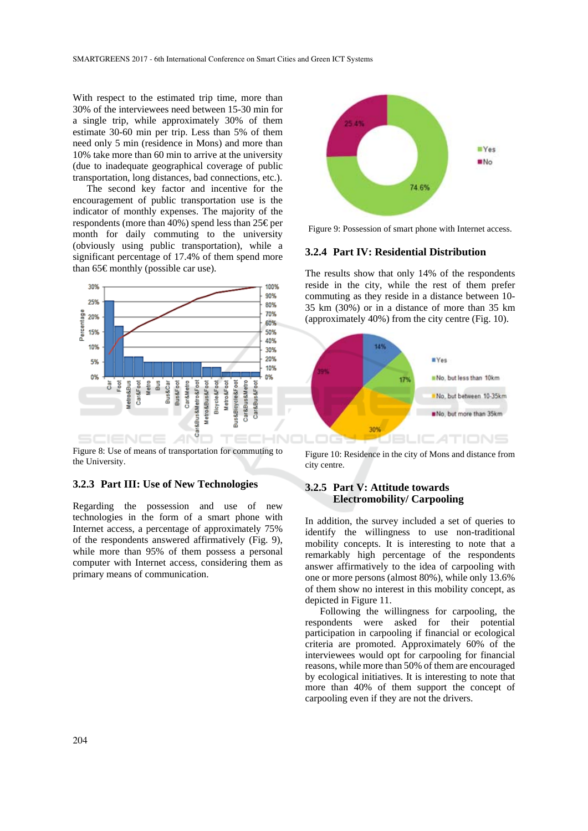With respect to the estimated trip time, more than 30% of the interviewees need between 15-30 min for a single trip, while approximately 30% of them estimate 30-60 min per trip. Less than 5% of them need only 5 min (residence in Mons) and more than 10% take more than 60 min to arrive at the university (due to inadequate geographical coverage of public transportation, long distances, bad connections, etc.).

The second key factor and incentive for the encouragement of public transportation use is the indicator of monthly expenses. The majority of the respondents (more than  $40\%$ ) spend less than 25 € per month for daily commuting to the university (obviously using public transportation), while a significant percentage of 17.4% of them spend more than  $65 \in \text{monthly}$  (possible car use).



Figure 8: Use of means of transportation for commuting to the University.

### **3.2.3 Part III: Use of New Technologies**

Regarding the possession and use of new technologies in the form of a smart phone with Internet access, a percentage of approximately 75% of the respondents answered affirmatively (Fig. 9), while more than 95% of them possess a personal computer with Internet access, considering them as primary means of communication.



Figure 9: Possession of smart phone with Internet access.

#### **3.2.4 Part IV: Residential Distribution**

The results show that only 14% of the respondents reside in the city, while the rest of them prefer commuting as they reside in a distance between 10- 35 km (30%) or in a distance of more than 35 km (approximately 40%) from the city centre (Fig. 10).



Figure 10: Residence in the city of Mons and distance from city centre.

### **3.2.5 Part V: Attitude towards Electromobility/ Carpooling**

In addition, the survey included a set of queries to identify the willingness to use non-traditional mobility concepts. It is interesting to note that a remarkably high percentage of the respondents answer affirmatively to the idea of carpooling with one or more persons (almost 80%), while only 13.6% of them show no interest in this mobility concept, as depicted in Figure 11.

Following the willingness for carpooling, the respondents were asked for their potential participation in carpooling if financial or ecological criteria are promoted. Approximately 60% of the interviewees would opt for carpooling for financial reasons, while more than 50% of them are encouraged by ecological initiatives. It is interesting to note that more than 40% of them support the concept of carpooling even if they are not the drivers.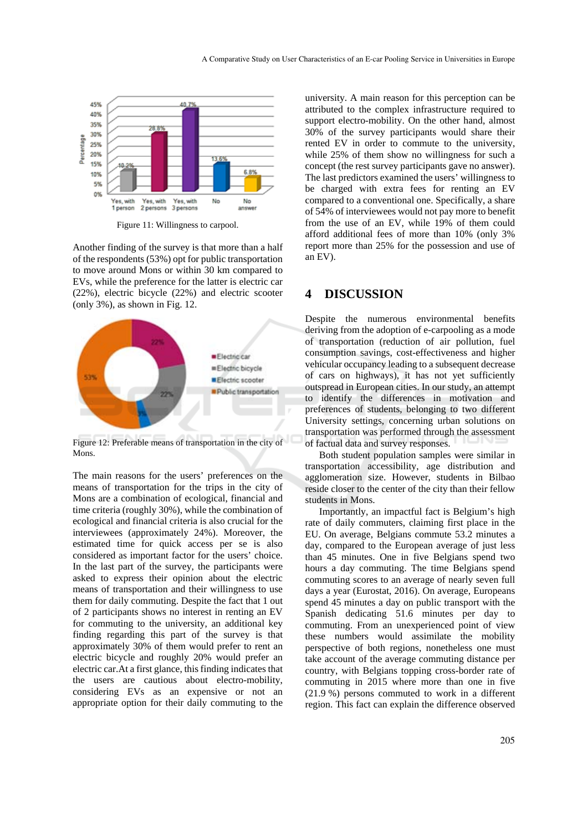

Figure 11: Willingness to carpool.

Another finding of the survey is that more than a half of the respondents (53%) opt for public transportation to move around Mons or within 30 km compared to EVs, while the preference for the latter is electric car (22%), electric bicycle (22%) and electric scooter (only 3%), as shown in Fig. 12.



Figure 12: Preferable means of transportation in the city of Mons.

The main reasons for the users' preferences on the means of transportation for the trips in the city of Mons are a combination of ecological, financial and time criteria (roughly 30%), while the combination of ecological and financial criteria is also crucial for the interviewees (approximately 24%). Moreover, the estimated time for quick access per se is also considered as important factor for the users' choice. In the last part of the survey, the participants were asked to express their opinion about the electric means of transportation and their willingness to use them for daily commuting. Despite the fact that 1 out of 2 participants shows no interest in renting an EV for commuting to the university, an additional key finding regarding this part of the survey is that approximately 30% of them would prefer to rent an electric bicycle and roughly 20% would prefer an electric car.At a first glance, this finding indicates that the users are cautious about electro-mobility, considering EVs as an expensive or not an appropriate option for their daily commuting to the

university. A main reason for this perception can be attributed to the complex infrastructure required to support electro-mobility. On the other hand, almost 30% of the survey participants would share their rented EV in order to commute to the university, while 25% of them show no willingness for such a concept (the rest survey participants gave no answer). The last predictors examined the users' willingness to be charged with extra fees for renting an EV compared to a conventional one. Specifically, a share of 54% of interviewees would not pay more to benefit from the use of an EV, while 19% of them could afford additional fees of more than 10% (only 3% report more than 25% for the possession and use of an EV).

### **4 DISCUSSION**

Despite the numerous environmental benefits deriving from the adoption of e-carpooling as a mode of transportation (reduction of air pollution, fuel consumption savings, cost-effectiveness and higher vehicular occupancy leading to a subsequent decrease of cars on highways), it has not yet sufficiently outspread in European cities. In our study, an attempt to identify the differences in motivation and preferences of students, belonging to two different University settings, concerning urban solutions on transportation was performed through the assessment of factual data and survey responses.

Both student population samples were similar in transportation accessibility, age distribution and agglomeration size. However, students in Bilbao reside closer to the center of the city than their fellow students in Mons.

Importantly, an impactful fact is Belgium's high rate of daily commuters, claiming first place in the EU. On average, Belgians commute 53.2 minutes a day, compared to the European average of just less than 45 minutes. One in five Belgians spend two hours a day commuting. The time Belgians spend commuting scores to an average of nearly seven full days a year (Eurostat, 2016). On average, Europeans spend 45 minutes a day on public transport with the Spanish dedicating 51.6 minutes per day to commuting. From an unexperienced point of view these numbers would assimilate the mobility perspective of both regions, nonetheless one must take account of the average commuting distance per country, with Belgians topping cross-border rate of commuting in 2015 where more than one in five (21.9 %) persons commuted to work in a different region. This fact can explain the difference observed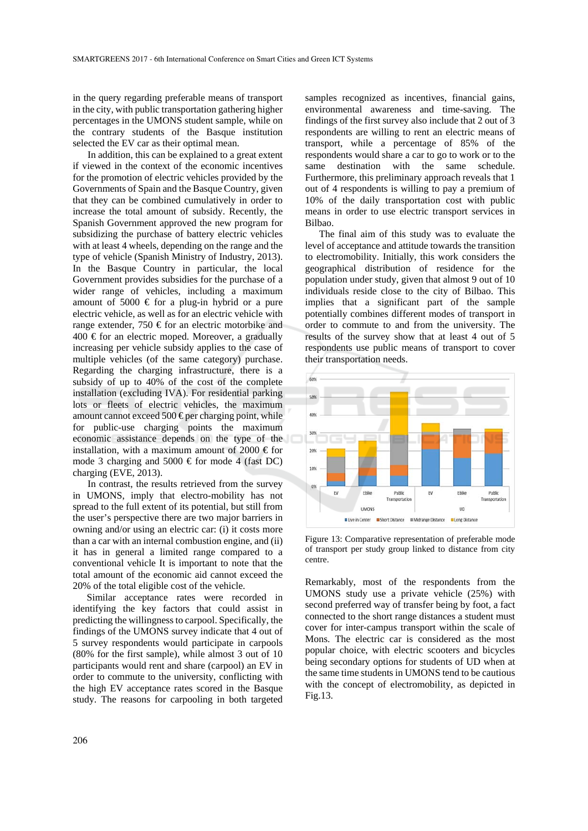in the query regarding preferable means of transport in the city, with public transportation gathering higher percentages in the UMONS student sample, while on the contrary students of the Basque institution selected the EV car as their optimal mean.

In addition, this can be explained to a great extent if viewed in the context of the economic incentives for the promotion of electric vehicles provided by the Governments of Spain and the Basque Country, given that they can be combined cumulatively in order to increase the total amount of subsidy. Recently, the Spanish Government approved the new program for subsidizing the purchase of battery electric vehicles with at least 4 wheels, depending on the range and the type of vehicle (Spanish Ministry of Industry, 2013). In the Basque Country in particular, the local Government provides subsidies for the purchase of a wider range of vehicles, including a maximum amount of 5000  $\epsilon$  for a plug-in hybrid or a pure electric vehicle, as well as for an electric vehicle with range extender, 750 € for an electric motorbike and  $400 \text{ } \in$  for an electric moped. Moreover, a gradually increasing per vehicle subsidy applies to the case of multiple vehicles (of the same category) purchase. Regarding the charging infrastructure, there is a subsidy of up to 40% of the cost of the complete installation (excluding IVA). For residential parking lots or fleets of electric vehicles, the maximum amount cannot exceed 500  $\epsilon$  per charging point, while for public-use charging points the maximum economic assistance depends on the type of the installation, with a maximum amount of 2000  $\in$  for mode 3 charging and 5000  $\in$  for mode 4 (fast DC) charging (EVE, 2013).

In contrast, the results retrieved from the survey in UMONS, imply that electro-mobility has not spread to the full extent of its potential, but still from the user's perspective there are two major barriers in owning and/or using an electric car: (i) it costs more than a car with an internal combustion engine, and (ii) it has in general a limited range compared to a conventional vehicle It is important to note that the total amount of the economic aid cannot exceed the 20% of the total eligible cost of the vehicle.

Similar acceptance rates were recorded in identifying the key factors that could assist in predicting the willingness to carpool. Specifically, the findings of the UMONS survey indicate that 4 out of 5 survey respondents would participate in carpools (80% for the first sample), while almost 3 out of 10 participants would rent and share (carpool) an EV in order to commute to the university, conflicting with the high EV acceptance rates scored in the Basque study. The reasons for carpooling in both targeted

samples recognized as incentives, financial gains, environmental awareness and time-saving. The findings of the first survey also include that 2 out of 3 respondents are willing to rent an electric means of transport, while a percentage of 85% of the respondents would share a car to go to work or to the same destination with the same schedule. Furthermore, this preliminary approach reveals that 1 out of 4 respondents is willing to pay a premium of 10% of the daily transportation cost with public means in order to use electric transport services in Bilbao.

The final aim of this study was to evaluate the level of acceptance and attitude towards the transition to electromobility. Initially, this work considers the geographical distribution of residence for the population under study, given that almost 9 out of 10 individuals reside close to the city of Bilbao. This implies that a significant part of the sample potentially combines different modes of transport in order to commute to and from the university. The results of the survey show that at least 4 out of 5 respondents use public means of transport to cover their transportation needs.



Figure 13: Comparative representation of preferable mode of transport per study group linked to distance from city centre.

Remarkably, most of the respondents from the UMONS study use a private vehicle (25%) with second preferred way of transfer being by foot, a fact connected to the short range distances a student must cover for inter-campus transport within the scale of Mons. The electric car is considered as the most popular choice, with electric scooters and bicycles being secondary options for students of UD when at the same time students in UMONS tend to be cautious with the concept of electromobility, as depicted in Fig.13.